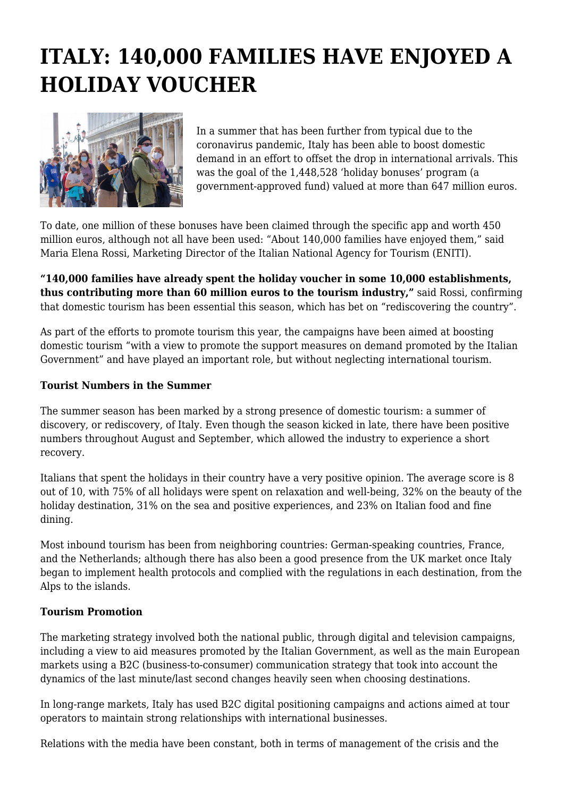# **ITALY: 140,000 FAMILIES HAVE ENJOYED A HOLIDAY VOUCHER**



In a summer that has been further from typical due to the coronavirus pandemic, Italy has been able to boost domestic demand in an effort to offset the drop in international arrivals. This was the goal of the 1,448,528 'holiday bonuses' program (a government-approved fund) valued at more than 647 million euros.

To date, one million of these bonuses have been claimed through the specific app and worth 450 million euros, although not all have been used: "About 140,000 families have enjoyed them," said Maria Elena Rossi, Marketing Director of the Italian National Agency for Tourism (ENITI).

**"140,000 families have already spent the holiday voucher in some 10,000 establishments, thus contributing more than 60 million euros to the tourism industry,"** said Rossi, confirming that domestic tourism has been essential this season, which has bet on "rediscovering the country".

As part of the efforts to promote tourism this year, the campaigns have been aimed at boosting domestic tourism "with a view to promote the support measures on demand promoted by the Italian Government" and have played an important role, but without neglecting international tourism.

## **Tourist Numbers in the Summer**

The summer season has been marked by a strong presence of domestic tourism: a summer of discovery, or rediscovery, of Italy. Even though the season kicked in late, there have been positive numbers throughout August and September, which allowed the industry to experience a short recovery.

Italians that spent the holidays in their country have a very positive opinion. The average score is 8 out of 10, with 75% of all holidays were spent on relaxation and well-being, 32% on the beauty of the holiday destination, 31% on the sea and positive experiences, and 23% on Italian food and fine dining.

Most inbound tourism has been from neighboring countries: German-speaking countries, France, and the Netherlands; although there has also been a good presence from the UK market once Italy began to implement health protocols and complied with the regulations in each destination, from the Alps to the islands.

#### **Tourism Promotion**

The marketing strategy involved both the national public, through digital and television campaigns, including a view to aid measures promoted by the Italian Government, as well as the main European markets using a B2C (business-to-consumer) communication strategy that took into account the dynamics of the last minute/last second changes heavily seen when choosing destinations.

In long-range markets, Italy has used B2C digital positioning campaigns and actions aimed at tour operators to maintain strong relationships with international businesses.

Relations with the media have been constant, both in terms of management of the crisis and the